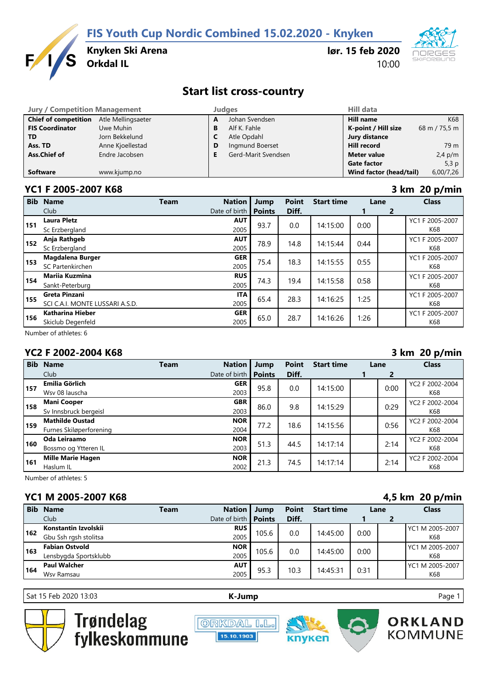**FIS Youth Cup Nordic Combined 15.02.2020 - Knyken**



**Knyken Ski Arena**

**lør. 15 feb 2020** 10:00



# **Start list cross-country**

| <b>Jury / Competition Management</b> |                    |   | <b>Judaes</b>       | <b>Hill data</b>        |               |  |
|--------------------------------------|--------------------|---|---------------------|-------------------------|---------------|--|
| <b>Chief of competition</b>          | Atle Mellingsaeter | A | Johan Svendsen      | <b>Hill name</b>        | K68           |  |
| <b>FIS Coordinator</b>               | Uwe Muhin          | в | Alf K. Fahle        | K-point / Hill size     | 68 m / 75,5 m |  |
| <b>TD</b>                            | Jorn Bekkelund     |   | Atle Opdahl         | Jury distance           |               |  |
| Ass. TD                              | Anne Kjoellestad   | D | Ingmund Boerset     | <b>Hill record</b>      | 79 m          |  |
| Ass.Chief of                         | Endre Jacobsen     |   | Gerd-Marit Svendsen | <b>Meter value</b>      | $2,4$ p/m     |  |
|                                      |                    |   |                     | <b>Gate factor</b>      | 5,3 $p$       |  |
| <b>Software</b>                      | www.kjump.no       |   |                     | Wind factor (head/tail) | 6,00/7,26     |  |

### **YC1 F 2005-2007 K68 3 km 20 p/min**

| <b>Bib</b> | <b>Name</b>                                      | <b>Team</b> | <b>Nation</b>      | Jump          | <b>Point</b> | <b>Start time</b> | Lane |                | <b>Class</b>           |
|------------|--------------------------------------------------|-------------|--------------------|---------------|--------------|-------------------|------|----------------|------------------------|
|            | Club                                             |             | Date of birth      | <b>Points</b> | Diff.        |                   |      | $\overline{2}$ |                        |
| 151        | <b>Laura Pletz</b><br>Sc Erzbergland             |             | <b>AUT</b><br>2005 | 93.7          | 0.0          | 14:15:00          | 0:00 |                | YC1 F 2005-2007<br>K68 |
| 152        | Anja Rathgeb<br>Sc Erzbergland                   |             | <b>AUT</b><br>2005 | 78.9          | 14.8         | 14:15:44          | 0:44 |                | YC1 F 2005-2007<br>K68 |
| 153        | Magdalena Burger<br>SC Partenkirchen             |             | <b>GER</b><br>2005 | 75.4          | 18.3         | 14:15:55          | 0:55 |                | YC1 F 2005-2007<br>K68 |
| 154        | <b>Marija Kuzmina</b><br>Sankt-Peterburg         |             | <b>RUS</b><br>2005 | 74.3          | 19.4         | 14:15:58          | 0:58 |                | YC1 F 2005-2007<br>K68 |
| 155        | Greta Pinzani<br>SCI C.A.I. MONTE LUSSARI A.S.D. |             | <b>ITA</b><br>2005 | 65.4          | 28.3         | 14:16:25          | 1:25 |                | YC1 F 2005-2007<br>K68 |
| 156        | Katharina Hieber<br>Skiclub Degenfeld            |             | <b>GER</b><br>2005 | 65.0          | 28.7         | 14:16:26          | 1:26 |                | YC1 F 2005-2007<br>K68 |

Number of athletes: 6

## **YC2 F 2002-2004 K68 3 km 20 p/min**

| <b>Bib</b> | <b>Name</b>                                       | <b>Team</b> | <b>Nation</b>      | Jump          | <b>Point</b> | <b>Start time</b> | Lane |      | <b>Class</b>           |
|------------|---------------------------------------------------|-------------|--------------------|---------------|--------------|-------------------|------|------|------------------------|
|            | Club                                              |             | Date of birth      | <b>Points</b> | Diff.        |                   |      | 2    |                        |
| 157        | <b>Emilia Görlich</b><br>Wsv 08 lauscha           |             | <b>GER</b><br>2003 | 95.8          | 0.0          | 14:15:00          |      | 0:00 | YC2 F 2002-2004<br>K68 |
| 158        | <b>Mani Cooper</b><br>Sv Innsbruck bergeisl       |             | <b>GBR</b><br>2003 | 86.0          | 9.8          | 14:15:29          |      | 0:29 | YC2 F 2002-2004<br>K68 |
| 159        | <b>Mathilde Oustad</b><br>Furnes Skiløperforening |             | <b>NOR</b><br>2004 | 77.2          | 18.6         | 14:15:56          |      | 0:56 | YC2 F 2002-2004<br>K68 |
| 160        | Oda Leiraamo<br>Bossmo og Ytteren IL              |             | <b>NOR</b><br>2003 | 51.3          | 44.5         | 14:17:14          |      | 2:14 | YC2 F 2002-2004<br>K68 |
| 161        | <b>Mille Marie Hagen</b><br>Haslum IL             |             | <b>NOR</b><br>2002 | 21.3          | 74.5         | 14:17:14          |      | 2:14 | YC2 F 2002-2004<br>K68 |

Number of athletes: 5

## **YC1 M 2005-2007 K68 4,5 km 20 p/min**

| <b>Bib</b> | <b>Name</b>           | Team | <b>Nation</b>               | Jump  | <b>Point</b> | <b>Start time</b> | Lane |  | <b>Class</b>    |
|------------|-----------------------|------|-----------------------------|-------|--------------|-------------------|------|--|-----------------|
|            | Club                  |      | Date of birth <b>Points</b> |       | Diff.        |                   |      |  |                 |
| 162        | Konstantin Izvolskii  |      | <b>RUS</b>                  | 105.6 | 0.0          | 14:45:00          | 0:00 |  | YC1 M 2005-2007 |
|            | Gbu Ssh rgsh stolitsa |      | 2005                        |       |              |                   |      |  | K68             |
| 163        | <b>Fabian Ostvold</b> |      | <b>NOR</b>                  |       | 105.6<br>0.0 | 14:45:00          | 0:00 |  | YC1 M 2005-2007 |
|            | Lensbygda Sportsklubb |      | 2005                        |       |              |                   |      |  | K68             |
| 164        | <b>Paul Walcher</b>   |      | <b>AUT</b>                  | 95.3  | 10.3         | 14:45:31          | 0:31 |  | YC1 M 2005-2007 |
|            | Wsv Ramsau            |      | 2005                        |       |              |                   |      |  | K68             |

Sat 15 Feb 2020 13:03 **[K-J](http://kjump.no/)ump** Page 1



Trøndelag<br>fylkeskommune





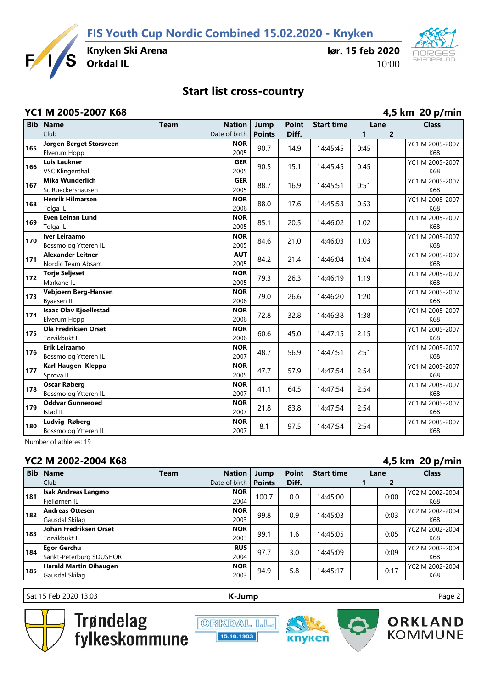**FIS Youth Cup Nordic Combined 15.02.2020 - Knyken**



**Knyken Ski Arena**

**lør. 15 feb 2020** 10:00



# **Start list cross-country**

### **YC1 M 2005-2007 K68 4,5 km 20 p/min**

|     | <b>Bib Name</b>                            | <b>Team</b> | <b>Nation</b>      | Jump          | <b>Point</b> | <b>Start time</b> | Lane |   | <b>Class</b>           |
|-----|--------------------------------------------|-------------|--------------------|---------------|--------------|-------------------|------|---|------------------------|
|     | Club                                       |             | Date of birth      | <b>Points</b> | Diff.        |                   | 1    | 2 |                        |
| 165 | Jorgen Berget Storsveen                    |             | <b>NOR</b>         | 90.7          | 14.9         | 14:45:45          | 0:45 |   | YC1 M 2005-2007        |
|     | Elverum Hopp                               |             | 2005               |               |              |                   |      |   | K68                    |
| 166 | <b>Luis Laukner</b>                        |             | <b>GER</b>         | 90.5          | 15.1         | 14:45:45          | 0:45 |   | YC1 M 2005-2007        |
|     | <b>VSC Klingenthal</b>                     |             | 2005               |               |              |                   |      |   | K68                    |
| 167 | <b>Mika Wunderlich</b>                     |             | <b>GER</b>         | 88.7          | 16.9         | 14:45:51          | 0:51 |   | YC1 M 2005-2007        |
|     | Sc Rueckershausen                          |             | 2005               |               |              |                   |      |   | K68                    |
| 168 | <b>Henrik Hilmarsen</b>                    |             | <b>NOR</b>         | 88.0          | 17.6         | 14:45:53          | 0:53 |   | YC1 M 2005-2007        |
|     | Tolga IL                                   |             | 2006               |               |              |                   |      |   | K68                    |
| 169 | <b>Even Leinan Lund</b>                    |             | <b>NOR</b>         | 85.1          | 20.5         | 14:46:02          | 1:02 |   | YC1 M 2005-2007        |
|     | Tolga IL                                   |             | 2005               |               |              |                   |      |   | K68                    |
| 170 | Iver Leiraamo                              |             | <b>NOR</b>         | 84.6          | 21.0         | 14:46:03          | 1:03 |   | YC1 M 2005-2007        |
|     | Bossmo og Ytteren IL                       |             | 2005               |               |              |                   |      |   | K68                    |
| 171 | <b>Alexander Leitner</b>                   |             | <b>AUT</b>         | 84.2          | 21.4         | 14:46:04          | 1:04 |   | YC1 M 2005-2007        |
|     | Nordic Team Absam                          |             | 2005               |               |              |                   |      |   | K68                    |
| 172 | <b>Torje Seljeset</b>                      |             | <b>NOR</b>         | 79.3          | 26.3         | 14:46:19          | 1:19 |   | YC1 M 2005-2007        |
|     | Markane IL                                 |             | 2005               |               |              |                   |      |   | K68                    |
| 173 | Vebjoern Berg-Hansen                       |             | <b>NOR</b>         | 79.0          | 26.6         | 14:46:20          | 1:20 |   | YC1 M 2005-2007        |
|     | Byaasen IL                                 |             | 2006               |               |              |                   |      |   | K68                    |
| 174 | <b>Isaac Olav Kjoellestad</b>              |             | <b>NOR</b>         | 72.8          | 32.8         | 14:46:38          | 1:38 |   | YC1 M 2005-2007        |
|     | Elverum Hopp                               |             | 2006               |               |              |                   |      |   | K68                    |
| 175 | <b>Ola Fredriksen Orset</b>                |             | <b>NOR</b>         | 60.6          | 45.0         | 14:47:15          | 2:15 |   | YC1 M 2005-2007        |
|     | Torvikbukt IL<br><b>Erik Leiraamo</b>      |             | 2006               |               |              |                   |      |   | K68                    |
| 176 |                                            |             | <b>NOR</b><br>2007 | 48.7          | 56.9         | 14:47:51          | 2:51 |   | YC1 M 2005-2007<br>K68 |
|     | Bossmo og Ytteren IL<br>Karl Haugen Kleppa |             | <b>NOR</b>         |               |              |                   |      |   | YC1 M 2005-2007        |
| 177 | Sprova IL                                  |             | 2005               | 47.7          | 57.9         | 14:47:54          | 2:54 |   | K68                    |
|     | <b>Oscar Røberg</b>                        |             | <b>NOR</b>         |               |              |                   |      |   | YC1 M 2005-2007        |
| 178 | Bossmo og Ytteren IL                       |             | 2007               | 41.1          | 64.5         | 14:47:54          | 2:54 |   | K68                    |
|     | <b>Oddvar Gunneroed</b>                    |             | <b>NOR</b>         |               |              |                   |      |   | YC1 M 2005-2007        |
| 179 | Istad IL                                   |             | 2007               | 21.8          | 83.8         | 14:47:54          | 2:54 |   | K68                    |
|     | Ludvig Røberg                              |             | <b>NOR</b>         |               |              |                   |      |   | YC1 M 2005-2007        |
| 180 | Bossmo og Ytteren IL                       |             | 2007               | 8.1           | 97.5         | 14:47:54          | 2:54 |   | K68                    |
|     |                                            |             |                    |               |              |                   |      |   |                        |

Number of athletes: 19

## **YC2 M 2002-2004 K68 4,5 km 20 p/min**

|            |                               |             |               |               |              |                   |  |      | .               |
|------------|-------------------------------|-------------|---------------|---------------|--------------|-------------------|--|------|-----------------|
| <b>Bib</b> | <b>Name</b>                   | <b>Team</b> | <b>Nation</b> | Jump          | <b>Point</b> | <b>Start time</b> |  | Lane | <b>Class</b>    |
|            | Club <sub></sub>              |             | Date of birth | <b>Points</b> | Diff.        |                   |  | 2    |                 |
| 181        | <b>Isak Andreas Langmo</b>    |             | <b>NOR</b>    | 100.7         | 0.0          | 14:45:00          |  | 0:00 | YC2 M 2002-2004 |
|            | Fiellørnen IL                 |             | 2004          |               |              |                   |  |      | K68             |
| 182        | <b>Andreas Ottesen</b>        |             | <b>NOR</b>    | 99.8          | 0.9          | 14:45:03          |  | 0:03 | YC2 M 2002-2004 |
|            | Gausdal Skilag                |             | 2003          |               |              |                   |  |      | K68             |
| 183        | Johan Fredriksen Orset        |             | <b>NOR</b>    | 99.1          | 1.6          | 14:45:05          |  | 0:05 | YC2 M 2002-2004 |
|            | Torvikbukt IL                 |             | 2003          |               |              |                   |  |      | K68             |
| 184        | <b>Egor Gerchu</b>            |             | <b>RUS</b>    | 97.7          | 3.0          | 14:45:09          |  | 0:09 | YC2 M 2002-2004 |
|            | Sankt-Peterburg SDUSHOR       |             | 2004          |               |              |                   |  |      | K68             |
| 185        | <b>Harald Martin Oihaugen</b> |             | <b>NOR</b>    |               | 94.9<br>5.8  | 14:45:17          |  | 0:17 | YC2 M 2002-2004 |
|            | Gausdal Skilag                |             | 2003          |               |              |                   |  |      | K68             |

Sat 15 Feb 2020 13:03 **[K-J](http://kjump.no/)ump** Page 2



Trøndelag<br>fylkeskommune